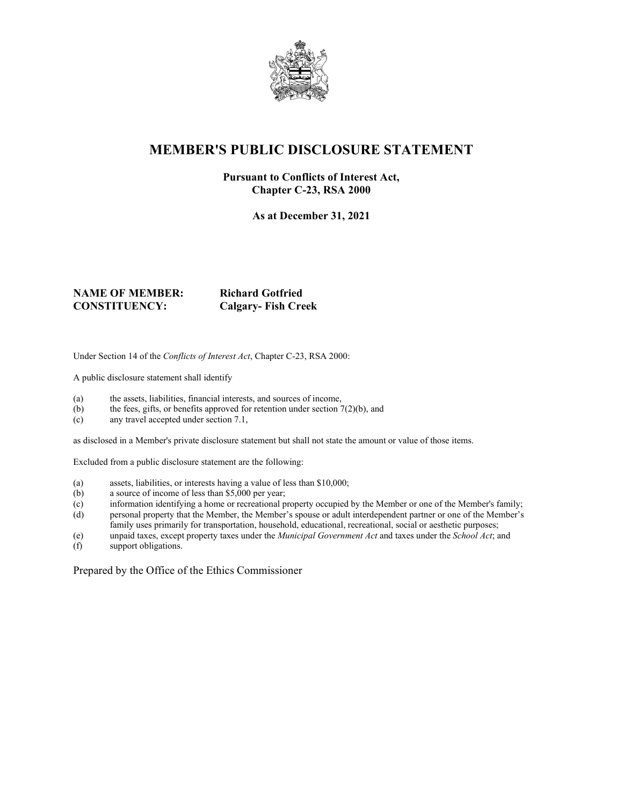

# **MEMBER'S PUBLIC DISCLOSURE STATEMENT**

#### **Pursuant to Conflicts of Interest Act, Chapter C-23, RSA 2000**

**As at December 31, 2021**

#### **NAME OF MEMBER: Richard Gotfried CONSTITUENCY: Calgary- Fish Creek**

Under Section 14 of the *Conflicts of Interest Act*, Chapter C-23, RSA 2000:

A public disclosure statement shall identify

- (a) the assets, liabilities, financial interests, and sources of income,
- (b) the fees, gifts, or benefits approved for retention under section  $7(2)(b)$ , and
- (c) any travel accepted under section 7.1,

as disclosed in a Member's private disclosure statement but shall not state the amount or value of those items.

Excluded from a public disclosure statement are the following:

- (a) assets, liabilities, or interests having a value of less than \$10,000;
- (b) a source of income of less than \$5,000 per year;
- (c) information identifying a home or recreational property occupied by the Member or one of the Member's family;
- (d) personal property that the Member, the Member's spouse or adult interdependent partner or one of the Member's family uses primarily for transportation, household, educational, recreational, social or aesthetic purposes;
- (e) unpaid taxes, except property taxes under the *Municipal Government Act* and taxes under the *School Act*; and
- support obligations.

Prepared by the Office of the Ethics Commissioner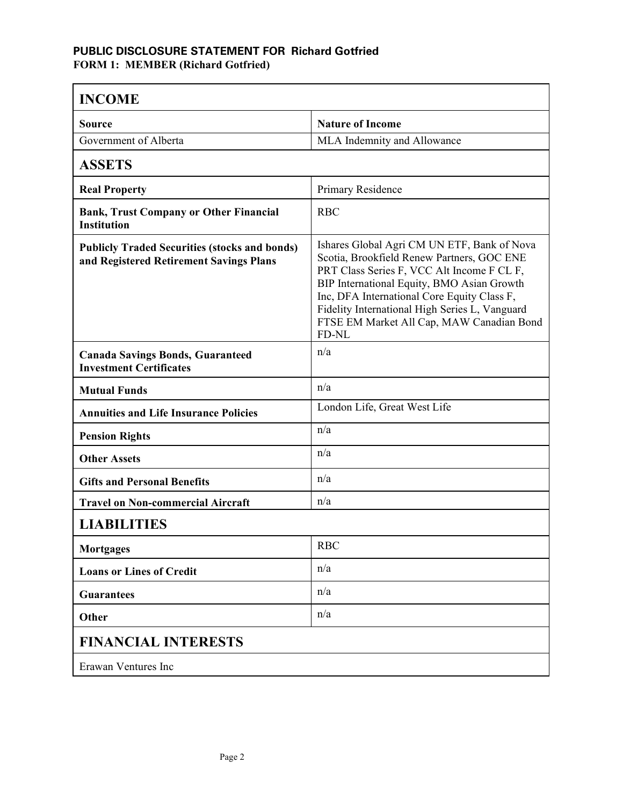#### **PUBLIC DISCLOSURE STATEMENT FOR Richard Gotfried FORM 1: MEMBER (Richard Gotfried)**

| <b>INCOME</b>                                                                                   |                                                                                                                                                                                                                                                                                                                                              |  |
|-------------------------------------------------------------------------------------------------|----------------------------------------------------------------------------------------------------------------------------------------------------------------------------------------------------------------------------------------------------------------------------------------------------------------------------------------------|--|
| Source                                                                                          | <b>Nature of Income</b>                                                                                                                                                                                                                                                                                                                      |  |
| Government of Alberta                                                                           | MLA Indemnity and Allowance                                                                                                                                                                                                                                                                                                                  |  |
| <b>ASSETS</b>                                                                                   |                                                                                                                                                                                                                                                                                                                                              |  |
| <b>Real Property</b>                                                                            | Primary Residence                                                                                                                                                                                                                                                                                                                            |  |
| <b>Bank, Trust Company or Other Financial</b><br><b>Institution</b>                             | <b>RBC</b>                                                                                                                                                                                                                                                                                                                                   |  |
| <b>Publicly Traded Securities (stocks and bonds)</b><br>and Registered Retirement Savings Plans | Ishares Global Agri CM UN ETF, Bank of Nova<br>Scotia, Brookfield Renew Partners, GOC ENE<br>PRT Class Series F, VCC Alt Income F CL F,<br>BIP International Equity, BMO Asian Growth<br>Inc, DFA International Core Equity Class F,<br>Fidelity International High Series L, Vanguard<br>FTSE EM Market All Cap, MAW Canadian Bond<br>FD-NL |  |
| <b>Canada Savings Bonds, Guaranteed</b><br><b>Investment Certificates</b>                       | n/a                                                                                                                                                                                                                                                                                                                                          |  |
| <b>Mutual Funds</b>                                                                             | n/a                                                                                                                                                                                                                                                                                                                                          |  |
| <b>Annuities and Life Insurance Policies</b>                                                    | London Life, Great West Life                                                                                                                                                                                                                                                                                                                 |  |
| <b>Pension Rights</b>                                                                           | n/a                                                                                                                                                                                                                                                                                                                                          |  |
| <b>Other Assets</b>                                                                             | n/a                                                                                                                                                                                                                                                                                                                                          |  |
| <b>Gifts and Personal Benefits</b>                                                              | n/a                                                                                                                                                                                                                                                                                                                                          |  |
| <b>Travel on Non-commercial Aircraft</b>                                                        | n/a                                                                                                                                                                                                                                                                                                                                          |  |
| <b>LIABILITIES</b>                                                                              |                                                                                                                                                                                                                                                                                                                                              |  |
| <b>Mortgages</b>                                                                                | <b>RBC</b>                                                                                                                                                                                                                                                                                                                                   |  |
| <b>Loans or Lines of Credit</b>                                                                 | n/a                                                                                                                                                                                                                                                                                                                                          |  |
| <b>Guarantees</b>                                                                               | n/a                                                                                                                                                                                                                                                                                                                                          |  |
| Other                                                                                           | n/a                                                                                                                                                                                                                                                                                                                                          |  |
| <b>FINANCIAL INTERESTS</b>                                                                      |                                                                                                                                                                                                                                                                                                                                              |  |
| Erawan Ventures Inc                                                                             |                                                                                                                                                                                                                                                                                                                                              |  |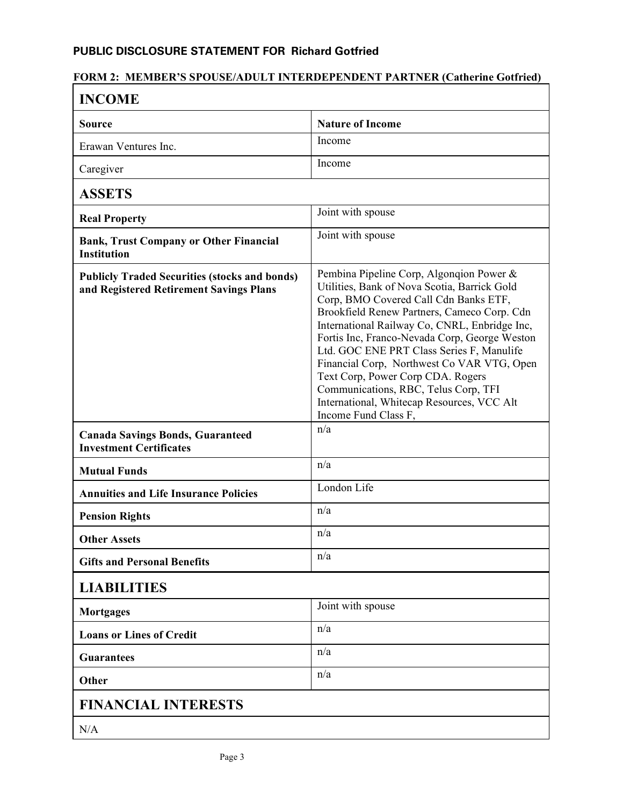### **PUBLIC DISCLOSURE STATEMENT FOR Richard Gotfried**

## **FORM 2: MEMBER'S SPOUSE/ADULT INTERDEPENDENT PARTNER (Catherine Gotfried)**

| <b>INCOME</b>                                                                                   |                                                                                                                                                                                                                                                                                                                                                                                                                                                                                                                                  |  |
|-------------------------------------------------------------------------------------------------|----------------------------------------------------------------------------------------------------------------------------------------------------------------------------------------------------------------------------------------------------------------------------------------------------------------------------------------------------------------------------------------------------------------------------------------------------------------------------------------------------------------------------------|--|
| Source                                                                                          | <b>Nature of Income</b>                                                                                                                                                                                                                                                                                                                                                                                                                                                                                                          |  |
| Erawan Ventures Inc.                                                                            | Income                                                                                                                                                                                                                                                                                                                                                                                                                                                                                                                           |  |
| Caregiver                                                                                       | Income                                                                                                                                                                                                                                                                                                                                                                                                                                                                                                                           |  |
| <b>ASSETS</b>                                                                                   |                                                                                                                                                                                                                                                                                                                                                                                                                                                                                                                                  |  |
| <b>Real Property</b>                                                                            | Joint with spouse                                                                                                                                                                                                                                                                                                                                                                                                                                                                                                                |  |
| <b>Bank, Trust Company or Other Financial</b><br><b>Institution</b>                             | Joint with spouse                                                                                                                                                                                                                                                                                                                                                                                                                                                                                                                |  |
| <b>Publicly Traded Securities (stocks and bonds)</b><br>and Registered Retirement Savings Plans | Pembina Pipeline Corp, Algonqion Power &<br>Utilities, Bank of Nova Scotia, Barrick Gold<br>Corp, BMO Covered Call Cdn Banks ETF,<br>Brookfield Renew Partners, Cameco Corp. Cdn<br>International Railway Co, CNRL, Enbridge Inc,<br>Fortis Inc, Franco-Nevada Corp, George Weston<br>Ltd. GOC ENE PRT Class Series F, Manulife<br>Financial Corp, Northwest Co VAR VTG, Open<br>Text Corp, Power Corp CDA. Rogers<br>Communications, RBC, Telus Corp, TFI<br>International, Whitecap Resources, VCC Alt<br>Income Fund Class F, |  |
| <b>Canada Savings Bonds, Guaranteed</b><br><b>Investment Certificates</b>                       | n/a                                                                                                                                                                                                                                                                                                                                                                                                                                                                                                                              |  |
| <b>Mutual Funds</b>                                                                             | n/a                                                                                                                                                                                                                                                                                                                                                                                                                                                                                                                              |  |
| <b>Annuities and Life Insurance Policies</b>                                                    | London Life                                                                                                                                                                                                                                                                                                                                                                                                                                                                                                                      |  |
| <b>Pension Rights</b>                                                                           | n/a                                                                                                                                                                                                                                                                                                                                                                                                                                                                                                                              |  |
| <b>Other Assets</b>                                                                             | n/a                                                                                                                                                                                                                                                                                                                                                                                                                                                                                                                              |  |
| <b>Gifts and Personal Benefits</b>                                                              | n/a                                                                                                                                                                                                                                                                                                                                                                                                                                                                                                                              |  |
| <b>LIABILITIES</b>                                                                              |                                                                                                                                                                                                                                                                                                                                                                                                                                                                                                                                  |  |
| <b>Mortgages</b>                                                                                | Joint with spouse                                                                                                                                                                                                                                                                                                                                                                                                                                                                                                                |  |
| <b>Loans or Lines of Credit</b>                                                                 | n/a                                                                                                                                                                                                                                                                                                                                                                                                                                                                                                                              |  |
| <b>Guarantees</b>                                                                               | n/a                                                                                                                                                                                                                                                                                                                                                                                                                                                                                                                              |  |
| Other                                                                                           | n/a                                                                                                                                                                                                                                                                                                                                                                                                                                                                                                                              |  |
| <b>FINANCIAL INTERESTS</b>                                                                      |                                                                                                                                                                                                                                                                                                                                                                                                                                                                                                                                  |  |
| N/A                                                                                             |                                                                                                                                                                                                                                                                                                                                                                                                                                                                                                                                  |  |